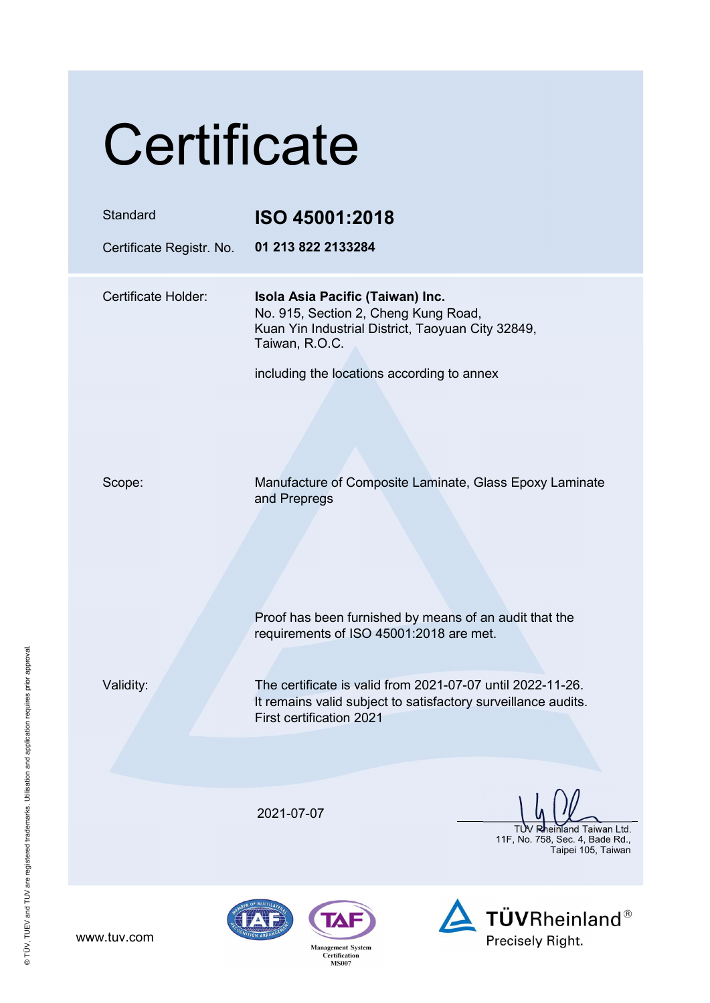# **Certificate**

| Standard<br>Certificate Registr. No. | ISO 45001:2018<br>01 213 822 2133284                                                                                                                    |
|--------------------------------------|---------------------------------------------------------------------------------------------------------------------------------------------------------|
| Certificate Holder:                  | Isola Asia Pacific (Taiwan) Inc.<br>No. 915, Section 2, Cheng Kung Road,<br>Kuan Yin Industrial District, Taoyuan City 32849,<br>Taiwan, R.O.C.         |
|                                      | including the locations according to annex                                                                                                              |
| Scope:                               | Manufacture of Composite Laminate, Glass Epoxy Laminate<br>and Prepregs                                                                                 |
|                                      | Proof has been furnished by means of an audit that the<br>requirements of ISO 45001:2018 are met.                                                       |
| Validity:                            | The certificate is valid from 2021-07-07 until 2022-11-26.<br>It remains valid subject to satisfactory surveillance audits.<br>First certification 2021 |
|                                      |                                                                                                                                                         |
|                                      | 2021-07-07<br>Rheinland Taiwan Ltd<br>11F, No. 758, Sec. 4, Bade Rd.,<br>Taipei 105, Taiwan                                                             |
|                                      | <b>TÜVRheinland®</b><br>TAF)                                                                                                                            |

www.tuv.com

**Management System<br>Certification<br>MS007** 



**IZAI**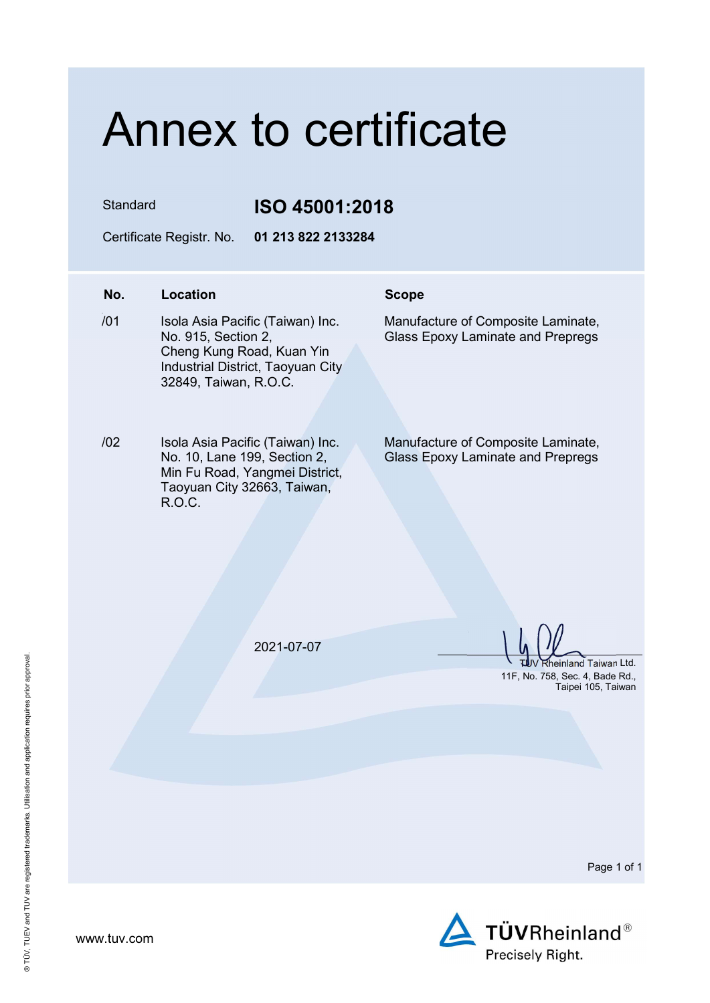## Annex to certificate

Standard **ISO 45001:2018** 

Certificate Registr. No. 01 213 822 2133284

### No. Location Scope

- $/01$ Isola Asia Pacific (Taiwan) Inc. No. 915, Section 2, Cheng Kung Road, Kuan Yin Industrial District, Taoyuan City 32849, Taiwan, R.O.C.
- /02 Isola Asia Pacific (Taiwan) Inc. No. 10, Lane 199, Section 2, Min Fu Road, Yangmei District, Taoyuan City 32663, Taiwan, R.O.C.

Manufacture of Composite Laminate, Glass Epoxy Laminate and Prepregs

Manufacture of Composite Laminate, Glass Epoxy Laminate and Prepregs

2021-07-07

Rheinland Taiwan Ltd. 11F, No. 758, Sec. 4, Bade Rd., Taipei 105, Taiwan

Page 1 of 1

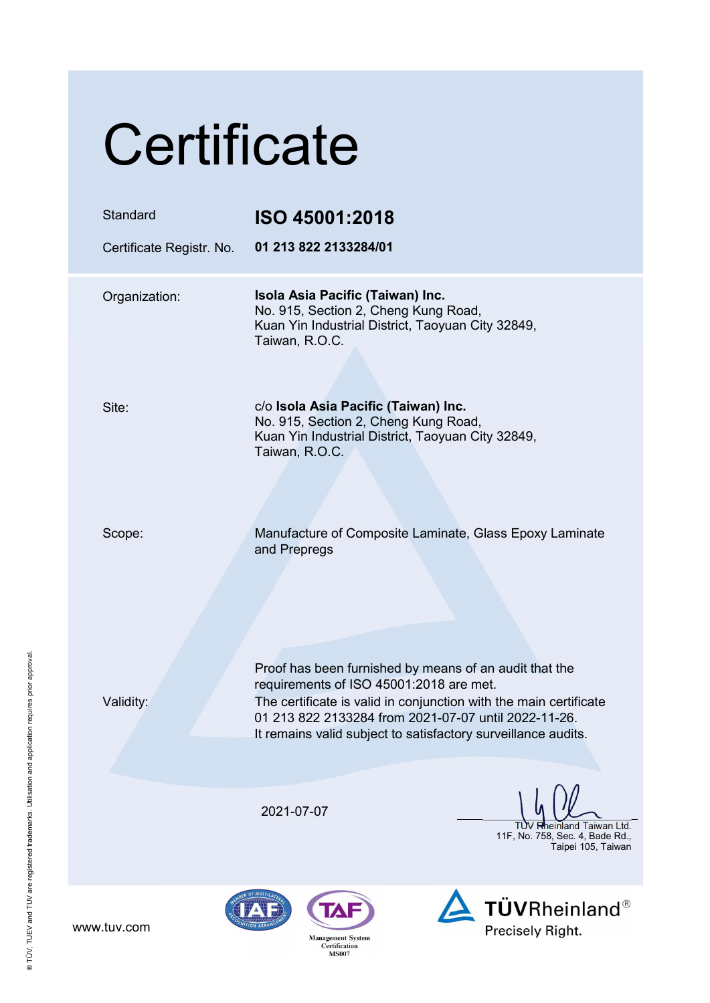| Certificate                          |                                                                                                                                                                                                                                                                                                 |  |
|--------------------------------------|-------------------------------------------------------------------------------------------------------------------------------------------------------------------------------------------------------------------------------------------------------------------------------------------------|--|
| Standard<br>Certificate Registr. No. | ISO 45001:2018<br>01 213 822 2133284/01                                                                                                                                                                                                                                                         |  |
| Organization:                        | Isola Asia Pacific (Taiwan) Inc.<br>No. 915, Section 2, Cheng Kung Road,<br>Kuan Yin Industrial District, Taoyuan City 32849,<br>Taiwan, R.O.C.                                                                                                                                                 |  |
| Site:                                | c/o Isola Asia Pacific (Taiwan) Inc.<br>No. 915, Section 2, Cheng Kung Road,<br>Kuan Yin Industrial District, Taoyuan City 32849,<br>Taiwan, R.O.C.                                                                                                                                             |  |
| Scope:                               | Manufacture of Composite Laminate, Glass Epoxy Laminate<br>and Prepregs                                                                                                                                                                                                                         |  |
| Validity:                            | Proof has been furnished by means of an audit that the<br>requirements of ISO 45001:2018 are met.<br>The certificate is valid in conjunction with the main certificate<br>01 213 822 2133284 from 2021-07-07 until 2022-11-26.<br>It remains valid subject to satisfactory surveillance audits. |  |
|                                      | 2021-07-07<br>heinland Taiwan Ltd.<br>11F, No. 758, Sec. 4, Bade Rd.,<br>Taipei 105, Taiwan                                                                                                                                                                                                     |  |
| www.tuv.com                          | <b>TÜVRheinland®</b><br>Precisely Right.<br><b>Management System</b><br>Certification<br><b>MS007</b>                                                                                                                                                                                           |  |